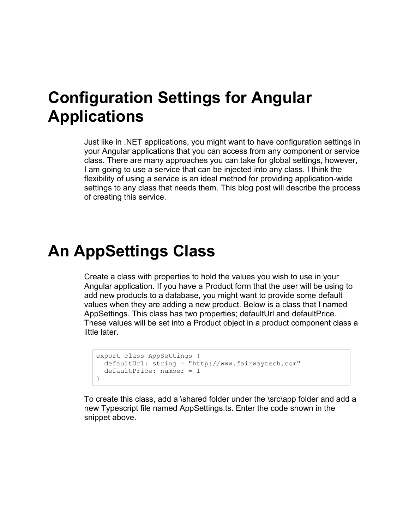#### **Configuration Settings for Angular Applications**

Just like in .NET applications, you might want to have configuration settings in your Angular applications that you can access from any component or service class. There are many approaches you can take for global settings, however, I am going to use a service that can be injected into any class. I think the flexibility of using a service is an ideal method for providing application-wide settings to any class that needs them. This blog post will describe the process of creating this service.

#### **An AppSettings Class**

Create a class with properties to hold the values you wish to use in your Angular application. If you have a Product form that the user will be using to add new products to a database, you might want to provide some default values when they are adding a new product. Below is a class that I named AppSettings. This class has two properties; defaultUrl and defaultPrice. These values will be set into a Product object in a product component class a little later.

```
export class AppSettings {
  defaultUrl: string = "http://www.fairwaytech.com"
  defaultPrice: number = 1
}
```
To create this class, add a \shared folder under the \src\app folder and add a new Typescript file named AppSettings.ts. Enter the code shown in the snippet above.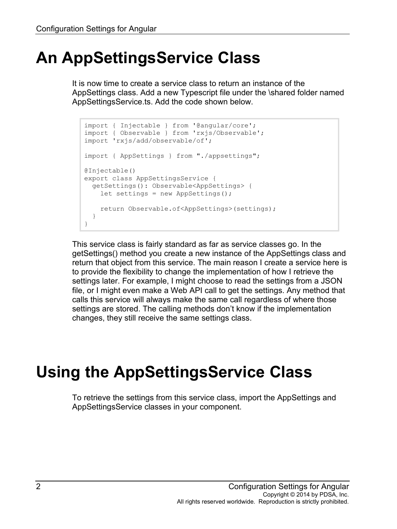### **An AppSettingsService Class**

It is now time to create a service class to return an instance of the AppSettings class. Add a new Typescript file under the \shared folder named AppSettingsService.ts. Add the code shown below.

```
import { Injectable } from '@angular/core';
import { Observable } from 'rxjs/Observable';
import 'rxjs/add/observable/of';
import { AppSettings } from "./appsettings";
@Injectable()
export class AppSettingsService {
  getSettings(): Observable<AppSettings> {
    let settings = new AppSettings();
     return Observable.of<AppSettings>(settings);
   }
}
```
This service class is fairly standard as far as service classes go. In the getSettings() method you create a new instance of the AppSettings class and return that object from this service. The main reason I create a service here is to provide the flexibility to change the implementation of how I retrieve the settings later. For example, I might choose to read the settings from a JSON file, or I might even make a Web API call to get the settings. Any method that calls this service will always make the same call regardless of where those settings are stored. The calling methods don't know if the implementation changes, they still receive the same settings class.

# **Using the AppSettingsService Class**

To retrieve the settings from this service class, import the AppSettings and AppSettingsService classes in your component.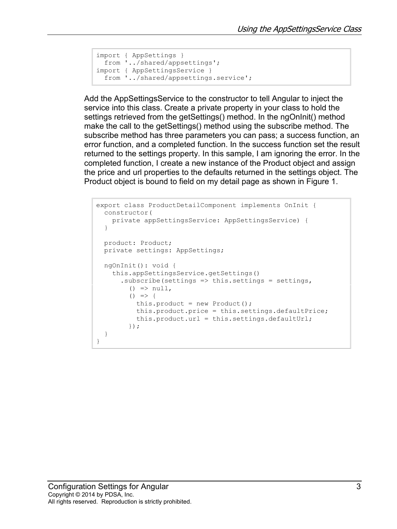```
import { AppSettings }
 from '../shared/appsettings';
import { AppSettingsService }
   from '../shared/appsettings.service';
```
Add the AppSettingsService to the constructor to tell Angular to inject the service into this class. Create a private property in your class to hold the settings retrieved from the getSettings() method. In the ngOnInit() method make the call to the getSettings() method using the subscribe method. The subscribe method has three parameters you can pass; a success function, an error function, and a completed function. In the success function set the result returned to the settings property. In this sample, I am ignoring the error. In the completed function, I create a new instance of the Product object and assign the price and url properties to the defaults returned in the settings object. The Product object is bound to field on my detail page as shown in Figure 1.

```
export class ProductDetailComponent implements OnInit {
  constructor(
    private appSettingsService: AppSettingsService) {
   }
  product: Product;
  private settings: AppSettings;
  ngOnInit(): void {
     this.appSettingsService.getSettings()
      .subscribe(settings \Rightarrow this.settings = settings,
         () \Rightarrow null,
         () \Rightarrowthis.product = new Product();
           this.product.price = this.settings.defaultPrice;
           this.product.url = this.settings.defaultUrl;
         });
   }
}
```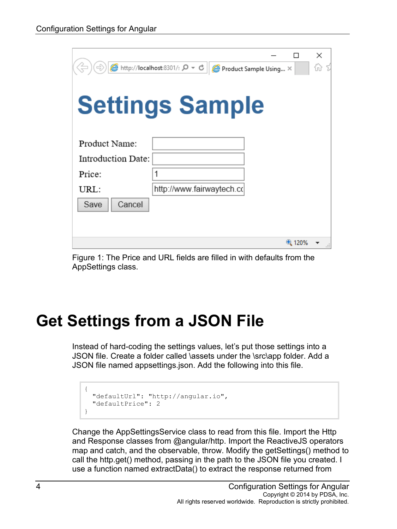|                    | $\bigcirc$ http://localhost:8301/: $\bigcirc \bigcirc$ + $\bigcirc$ | Product Sample Using X |       | ×<br>ín |
|--------------------|---------------------------------------------------------------------|------------------------|-------|---------|
|                    | <b>Settings Sample</b>                                              |                        |       |         |
| Product Name:      |                                                                     |                        |       |         |
| Introduction Date: |                                                                     |                        |       |         |
| Price:             |                                                                     |                        |       |         |
| URL:               | http://www.fairwaytech.co                                           |                        |       |         |
| Cancel<br>Save     |                                                                     |                        |       |         |
|                    |                                                                     |                        |       |         |
|                    |                                                                     |                        |       |         |
|                    |                                                                     |                        | 4120% |         |

Figure 1: The Price and URL fields are filled in with defaults from the AppSettings class.

# **Get Settings from a JSON File**

Instead of hard-coding the settings values, let's put those settings into a JSON file. Create a folder called \assets under the \src\app folder. Add a JSON file named appsettings.json. Add the following into this file.

```
{
  "defaultUrl": "http://angular.io",
   "defaultPrice": 2
}
```
Change the AppSettingsService class to read from this file. Import the Http and Response classes from @angular/http. Import the ReactiveJS operators map and catch, and the observable, throw. Modify the getSettings() method to call the http.get() method, passing in the path to the JSON file you created. I use a function named extractData() to extract the response returned from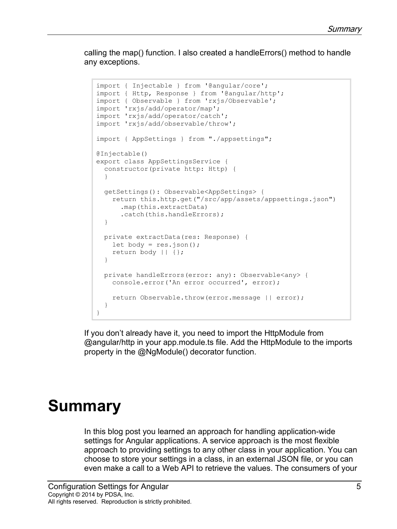calling the map() function. I also created a handleErrors() method to handle any exceptions.

```
import { Injectable } from '@angular/core';
import { Http, Response } from '@angular/http';
import { Observable } from 'rxjs/Observable';
import 'rxjs/add/operator/map';
import 'rxjs/add/operator/catch';
import 'rxjs/add/observable/throw';
import { AppSettings } from "./appsettings";
@Injectable()
export class AppSettingsService {
  constructor(private http: Http) {
 }
   getSettings(): Observable<AppSettings> { 
    return this.http.get("/src/app/assets/appsettings.json")
       .map(this.extractData)
       .catch(this.handleErrors);
   }
  private extractData(res: Response) {
   let body = res.jpg return body || {};
   }
  private handleErrors(error: any): Observable<any> {
     console.error('An error occurred', error);
     return Observable.throw(error.message || error);
  }
}
```
If you don't already have it, you need to import the HttpModule from @angular/http in your app.module.ts file. Add the HttpModule to the imports property in the @NgModule() decorator function.

#### **Summary**

In this blog post you learned an approach for handling application-wide settings for Angular applications. A service approach is the most flexible approach to providing settings to any other class in your application. You can choose to store your settings in a class, in an external JSON file, or you can even make a call to a Web API to retrieve the values. The consumers of your